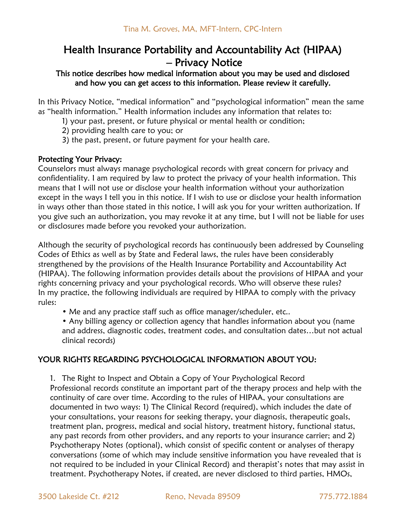## Health Insurance Portability and Accountability Act (HIPAA) – Privacy Notice

## This notice describes how medical information about you may be used and disclosed and how you can get access to this information. Please review it carefully.

In this Privacy Notice, "medical information" and "psychological information" mean the same as "health information." Health information includes any information that relates to:

- 1) your past, present, or future physical or mental health or condition;
- 2) providing health care to you; or
- 3) the past, present, or future payment for your health care.

## Protecting Your Privacy:

Counselors must always manage psychological records with great concern for privacy and confidentiality. I am required by law to protect the privacy of your health information. This means that I will not use or disclose your health information without your authorization except in the ways I tell you in this notice. If I wish to use or disclose your health information in ways other than those stated in this notice, I will ask you for your written authorization. If you give such an authorization, you may revoke it at any time, but I will not be liable for uses or disclosures made before you revoked your authorization.

Although the security of psychological records has continuously been addressed by Counseling Codes of Ethics as well as by State and Federal laws, the rules have been considerably strengthened by the provisions of the Health Insurance Portability and Accountability Act (HIPAA). The following information provides details about the provisions of HIPAA and your rights concerning privacy and your psychological records. Who will observe these rules? In my practice, the following individuals are required by HIPAA to comply with the privacy rules:

• Me and any practice staff such as office manager/scheduler, etc..

• Any billing agency or collection agency that handles information about you (name and address, diagnostic codes, treatment codes, and consultation dates…but not actual clinical records)

## YOUR RIGHTS REGARDING PSYCHOLOGICAL INFORMATION ABOUT YOU:

1. The Right to Inspect and Obtain a Copy of Your Psychological Record Professional records constitute an important part of the therapy process and help with the continuity of care over time. According to the rules of HIPAA, your consultations are documented in two ways: 1) The Clinical Record (required), which includes the date of your consultations, your reasons for seeking therapy, your diagnosis, therapeutic goals, treatment plan, progress, medical and social history, treatment history, functional status, any past records from other providers, and any reports to your insurance carrier; and 2) Psychotherapy Notes (optional), which consist of specific content or analyses of therapy conversations (some of which may include sensitive information you have revealed that is not required to be included in your Clinical Record) and therapist's notes that may assist in treatment. Psychotherapy Notes, if created, are never disclosed to third parties, HMOs,